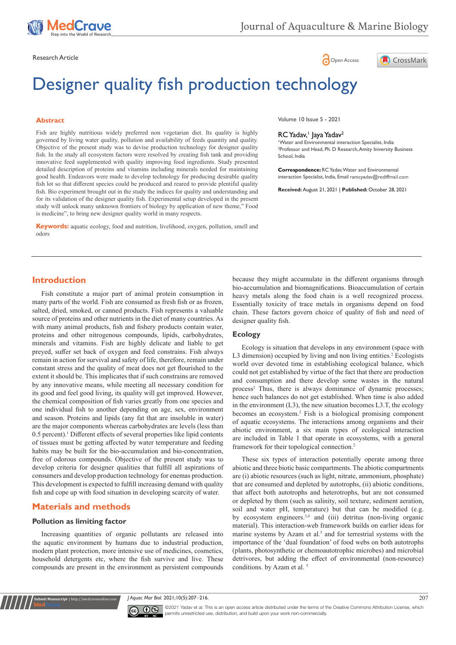

Research Article **Contracts and Contracts and Contracts and Contracts and Contracts and Contracts and Copen Access** 



# Designer quality fish production technology

# **Abstract**

Fish are highly nutritious widely preferred non vegetarian diet. Its quality is highly governed by living water quality, pollution and availability of feeds quantity and quality. Objective of the present study was to devise production technology for designer quality fish. In the study all ecosystem factors were resolved by creating fish tank and providing innovative feed supplemented with quality improving food ingredients. Study presented detailed description of proteins and vitamins including minerals needed for maintaining good health. Endeavors were made to develop technology for producing desirable quality fish lot so that different species could be produced and reared to provide plentiful quality fish. Bio experiment brought out in the study the indices for quality and understanding and for its validation of the designer quality fish. Experimental setup developed in the present study will unlock many unknown frontiers of biology by application of new theme," Food is medicine", to bring new designer quality world in many respects.

**Keywords:** aquatic ecology, food and nutrition, livelihood, oxygen, pollution, smell and odors

Volume 10 Issue 5 - 2021

# RC Yadav,<sup>1</sup> Jaya Yadav<sup>2</sup>

1 Water and Environmental interaction Specialist, India 2 Professor and Head, Ph. D Research, Amity Iniversity Business School, India

**Correspondence:** RC Yadav, Water and Environmental interaction Specialist, India, Email ramcyadav@rediffmail.com

**Received:** August 21, 2021 | **Published:** October 28, 2021

# **Introduction**

Fish constitute a major part of animal protein consumption in many parts of the world. Fish are consumed as fresh fish or as frozen, salted, dried, smoked, or canned products. Fish represents a valuable source of proteins and other nutrients in the diet of many countries. As with many animal products, fish and fishery products contain water, proteins and other nitrogenous compounds, lipids, carbohydrates, minerals and vitamins. Fish are highly delicate and liable to get preyed, suffer set back of oxygen and feed constrains. Fish always remain in action for survival and safety of life, therefore, remain under constant stress and the quality of meat does not get flourished to the extent it should be. This implicates that if such constrains are removed by any innovative means, while meeting all necessary condition for its good and feel good living, its quality will get improved. However, the chemical composition of fish varies greatly from one species and one individual fish to another depending on age, sex, environment and season. Proteins and lipids (any fat that are insoluble in water) are the major components whereas carbohydrates are levels (less than 0.5 percent).<sup>1</sup> Different effects of several properties like lipid contents of tissues must be getting affected by water temperature and feeding habits may be built for the bio-accumulation and bio-concentration, free of odorous compounds. Objective of the present study was to develop criteria for designer qualities that fulfill all aspirations of consumers and develop production technology for enemas production. This development is expected to fulfill increasing demand with quality fish and cope up with food situation in developing scarcity of water.

# **Materials and methods**

# **Pollution as limiting factor**

**nit Manuscript** | http://medcraveonline.

Increasing quantities of organic pollutants are released into the aquatic environment by humans due to industrial production, modern plant protection, more intensive use of medicines, cosmetics, household detergents etc, where the fish survive and live. These compounds are present in the environment as persistent compounds

because they might accumulate in the different organisms through bio-accumulation and biomagnifications. Bioaccumulation of certain heavy metals along the food chain is a well recognized process. Essentially toxicity of trace metals in organisms depend on food chain. These factors govern choice of quality of fish and need of designer quality fish.

# **Ecology**

Ecology is situation that develops in any environment (space with L3 dimension) occupied by living and non living entities.<sup>2</sup> Ecologists world over devoted time in establishing ecological balance, which could not get established by virtue of the fact that there are production and consumption and there develop some wastes in the natural process<sup>2</sup> Thus, there is always dominance of dynamic processes; hence such balances do not get established. When time is also added in the environment (L3), the new situation becomes L3.T, the ecology becomes an ecosystem.<sup>2</sup> Fish is a biological promising component of aquatic ecosystems. The interactions among organisms and their abiotic environment, a six main types of ecological interaction are included in Table 1 that operate in ecosystems, with a general framework for their topological connection.<sup>2</sup>

These six types of interaction potentially operate among three abiotic and three biotic basic compartments. The abiotic compartments are (i) abiotic resources (such as light, nitrate, ammonium, phosphate) that are consumed and depleted by autotrophs, (ii) abiotic conditions, that affect both autotrophs and heterotrophs, but are not consumed or depleted by them (such as salinity, soil texture, sediment aeration, soil and water pH, temperature) but that can be modified (e.g. by ecosystem engineers.3,4 and (iii) detritus (non-living organic material). This interaction-web framework builds on earlier ideas for marine systems by Azam et al. $<sup>5</sup>$  and for terrestrial systems with the</sup> importance of the 'dual foundation' of food webs on both autotrophs (plants, photosynthetic or chemoautotrophic microbes) and microbial detrivores, but adding the effect of environmental (non-resource) conditions. by [Azam](https://royalsocietypublishing.org/doi/full/10.1098/rstb.2008.0222#bib10) et al. <sup>5</sup>

*J Aquac Mar Biol.* 2021;10(5):207‒216. 207



©2021 Yadav et al. This is an open access article distributed under the terms of the [Creative Commons Attribution License,](https://creativecommons.org/licenses/by-nc/4.0/) which permits unrestricted use, distribution, and build upon your work non-commercially.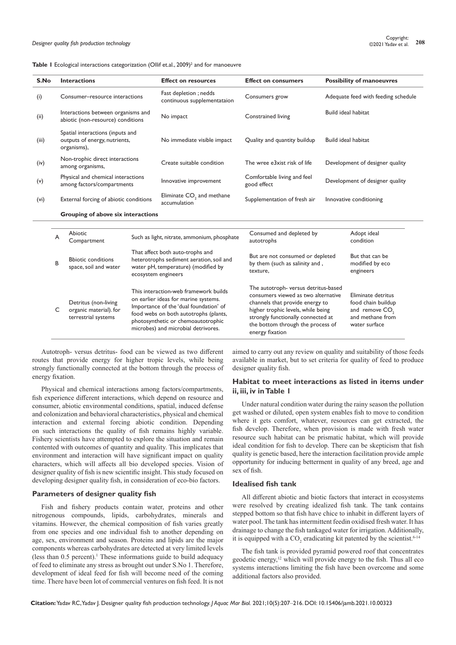|  |  |  | <b>Table I</b> Ecological interactions categorization (Ollif et.al., 2009) <sup>2</sup> and for manoeuvre |  |  |  |  |
|--|--|--|-----------------------------------------------------------------------------------------------------------|--|--|--|--|
|--|--|--|-----------------------------------------------------------------------------------------------------------|--|--|--|--|

| S.No  |                                                                                  | <b>Interactions</b><br><b>Effect on resources</b>                       |                                                                                                                                                                                                                                               | <b>Effect on consumers</b>                            | <b>Possibility of manoeuvres</b>                                                                                                                                                                                                                   |                                     |                                                                                                             |  |
|-------|----------------------------------------------------------------------------------|-------------------------------------------------------------------------|-----------------------------------------------------------------------------------------------------------------------------------------------------------------------------------------------------------------------------------------------|-------------------------------------------------------|----------------------------------------------------------------------------------------------------------------------------------------------------------------------------------------------------------------------------------------------------|-------------------------------------|-------------------------------------------------------------------------------------------------------------|--|
| (i)   |                                                                                  | Consumer-resource interactions                                          |                                                                                                                                                                                                                                               | Fast depletion ; nedds<br>continuous supplementataion | Consumers grow                                                                                                                                                                                                                                     | Adequate feed with feeding schedule |                                                                                                             |  |
| (ii)  |                                                                                  | Interactions between organisms and<br>abiotic (non-resource) conditions |                                                                                                                                                                                                                                               | No impact                                             | Constrained living                                                                                                                                                                                                                                 | <b>Build ideal habitat</b>          |                                                                                                             |  |
| (iii) | Spatial interactions (inputs and<br>outputs of energy, nutrients,<br>organisms), |                                                                         | No immediate visible impact                                                                                                                                                                                                                   | Quality and quantity buildup                          |                                                                                                                                                                                                                                                    | <b>Build ideal habitat</b>          |                                                                                                             |  |
| (iv)  |                                                                                  | Non-trophic direct interactions<br>among organisms,                     |                                                                                                                                                                                                                                               | Create suitable condition                             | The wree e3xist risk of life                                                                                                                                                                                                                       |                                     | Development of designer quality                                                                             |  |
| (v)   |                                                                                  | Physical and chemical interactions<br>among factors/compartments        |                                                                                                                                                                                                                                               | Innovative improvement                                | Comfortable living and feel<br>good effect                                                                                                                                                                                                         |                                     | Development of designer quality                                                                             |  |
| (vi)  |                                                                                  | External forcing of abiotic conditions                                  |                                                                                                                                                                                                                                               | Eliminate CO <sub>2</sub> and methane<br>accumulation | Supplementation of fresh air                                                                                                                                                                                                                       |                                     | Innovative conditioning                                                                                     |  |
|       |                                                                                  | Grouping of above six interactions                                      |                                                                                                                                                                                                                                               |                                                       |                                                                                                                                                                                                                                                    |                                     |                                                                                                             |  |
|       | A                                                                                | Abiotic<br>Compartment                                                  | Such as light, nitrate, ammonium, phosphate                                                                                                                                                                                                   |                                                       | Consumed and depleted by<br>autotrophs                                                                                                                                                                                                             |                                     | Adopt ideal<br>condition                                                                                    |  |
|       | B                                                                                | <b>Bbiotic conditions</b><br>space, soil and water                      | That affect both auto-trophs and<br>heterotrophs sediment aeration, soil and<br>water pH, temperature) (modified by<br>ecosystem engineers                                                                                                    |                                                       | But are not consumed or depleted<br>by them (such as salinity and,<br>texture,                                                                                                                                                                     |                                     | But that can be<br>modified by eco<br>engineers                                                             |  |
|       | C                                                                                | Detritus (non-living<br>organic material). for<br>terrestrial systems   | This interaction-web framework builds<br>on earlier ideas for marine systems.<br>Importance of the 'dual foundation' of<br>food webs on both autotrophs (plants,<br>photosynthetic or chemoautotrophic<br>microbes) and microbial detrivores. |                                                       | The autotroph- versus detritus-based<br>consumers viewed as two alternative<br>channels that provide energy to<br>higher trophic levels, while being<br>strongly functionally connected at<br>the bottom through the process of<br>energy fixation |                                     | Eliminate detritus<br>food chain buildup<br>and remove CO <sub>2</sub><br>and methane from<br>water surface |  |

Autotroph- versus detritus- food can be viewed as two different routes that provide energy for higher tropic levels, while being strongly functionally connected at the bottom through the process of energy fixation.

Physical and chemical interactions among factors/compartments, fish experience different interactions, which depend on resource and consumer, abiotic environmental conditions, spatial, induced defense and colonization and behavioral characteristics, physical and chemical interaction and external forcing abiotic condition. Depending on such interactions the quality of fish remains highly variable. Fishery scientists have attempted to explore the situation and remain contented with outcomes of quantity and quality. This implicates that environment and interaction will have significant impact on quality characters, which will affects all bio developed species. Vision of designer quality of fish is new scientific insight. This study focused on developing designer quality fish, in consideration of eco-bio factors.

# **Parameters of designer quality fish**

Fish and fishery products contain water, proteins and other nitrogenous compounds, lipids, carbohydrates, minerals and vitamins. However, the chemical composition of fish varies greatly from one species and one individual fish to another depending on age, sex, environment and season. Proteins and lipids are the major components whereas carbohydrates are detected at very limited levels  $($ less than  $0.5$  percent $).<sup>1</sup>$  These informations guide to build adequacy of feed to eliminate any stress as brought out under S.No 1. Therefore, development of ideal feed for fish will become need of the coming time. There have been lot of commercial ventures on fish feed. It is not

aimed to carry out any review on quality and suitability of those feeds available in market, but to set criteria for quality of feed to produce designer quality fish.

# **Habitat to meet interactions as listed in items under ii, iii, iv in Table 1**

Under natural condition water during the rainy season the pollution get washed or diluted, open system enables fish to move to condition where it gets comfort, whatever, resources can get extracted, the fish develop. Therefore, when provision is made with fresh water resource such habitat can be prismatic habitat, which will provide ideal condition for fish to develop. There can be skepticism that fish quality is genetic based, here the interaction facilitation provide ample opportunity for inducing betterment in quality of any breed, age and sex of fish.

# **Idealised fish tank**

All different abiotic and biotic factors that interact in ecosystems were resolved by creating idealized fish tank. The tank contains stepped bottom so that fish have chice to inhabit in different layers of water pool. The tank has intermittent feedin oxidised fresh water. It has drainage to change the fish tankaged water for irrigation. Additionally, it is equipped with a  $CO_2$  eradicating kit patented by the scientist.<sup>6-14</sup>

The fish tank is provided pyramid powered roof that concentrates geodetic energy,<sup>12</sup> which will provide energy to the fish. Thus all eco systems interactions limiting the fish have been overcome and some additional factors also provided.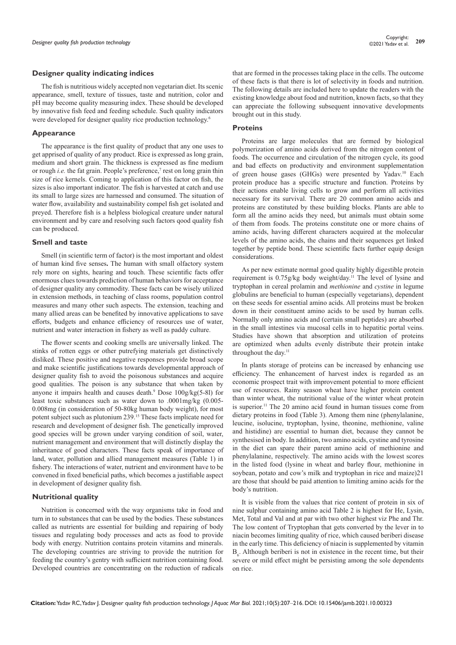#### **Designer quality indicating indices**

The fish is nutritious widely accepted non vegetarian diet. Its scenic appearance, smell, texture of tissues, taste and nutrition, color and pH may become quality measuring index. These should be developed by innovative fish feed and feeding schedule. Such quality indicators were developed for designer quality rice production technology.<sup>6</sup>

#### **Appearance**

The appearance is the first quality of product that any one uses to get apprised of quality of any product. Rice is expressed as long grain, medium and short grain. The thickness is expressed as fine medium or rough *i.e.* the fat grain. People's preference,<sup>7</sup> rest on long grain thin size of rice kernels. Coming to application of this factor on fish, the sizes is also important indicator. The fish is harvested at catch and use its small to large sizes are harnessed and consumed. The situation of water flow, availability and sustainability compel fish get isolated and preyed. Therefore fish is a helpless biological creature under natural environment and by care and resolving such factors qood quality fish can be produced.

#### **Smell and taste**

Smell (in scientific term of factor) is the most important and oldest of human kind five senses**.** The human with small olfactory system rely more on sights, hearing and touch. These scientific facts offer enormous clues towards prediction of human behaviors for acceptance of designer quality any commodity. These facts can be wisely utilized in extension methods, in teaching of class rooms, population control measures and many other such aspects. The extension, teaching and many allied areas can be benefited by innovative applications to save efforts, budgets and enhance efficiency of resources use of water, nutrient and water interaction in fishery as well as paddy culture.

The flower scents and cooking smells are universally linked. The stinks of rotten eggs or other putrefying materials get distinctively disliked. These positive and negative responses provide broad scope and make scientific justifications towards developmental approach of designer quality fish to avoid the poisonous substances and acquire good qualities. The poison is any substance that when taken by anyone it impairs health and causes death.<sup>9</sup> Dose  $100g/kg(5-8l)$  for least toxic substances such as water down to .0001mg/kg (0.005- 0.008mg (in consideration of 50-80kg human body weight), for most potent subject such as plutonium 239.<sup>15</sup> These facts implicate need for research and development of designer fish. The genetically improved good species will be grown under varying condition of soil, water, nutrient management and environment that will distinctly display the inheritance of good characters. These facts speak of importance of land, water, pollution and allied management measures (Table 1) in fishery. The interactions of water, nutrient and environment have to be convened in fixed beneficial paths, which becomes a justifiable aspect in development of designer quality fish.

# **Nutritional quality**

Nutrition is concerned with the way organisms take in food and turn in to substances that can be used by the bodies. These substances called as nutrients are essential for building and repairing of body tissues and regulating body processes and acts as food to provide body with energy. Nutrition contains protein vitamins and minerals. The developing countries are striving to provide the nutrition for feeding the country's gentry with sufficient nutrition containing food. Developed countries are concentrating on the reduction of radicals that are formed in the processes taking place in the cells. The outcome of these facts is that there is lot of selectivity in foods and nutrition. The following details are included here to update the readers with the existing knowledge about food and nutrition, known facts, so that they can appreciate the following subsequent innovative developments brought out in this study.

#### **Proteins**

Proteins are large molecules that are formed by biological polymerization of amino acids derived from the nitrogen content of foods. The occurrence and circulation of the nitrogen cycle, its good and bad effects on productivity and environment supplementation of green house gases (GHGs) were presented by Yadav.10 Each protein produce has a specific structure and function. Proteins by their actions enable living cells to grow and perform all activities necessary for its survival. There are 20 common amino acids and proteins are constituted by these building blocks. Plants are able to form all the amino acids they need, but animals must obtain some of them from foods. The proteins constitute one or more chains of amino acids, having different characters acquired at the molecular levels of the amino acids, the chains and their sequences get linked together by peptide bond. These scientific facts further equip design considerations.

As per new estimate normal good quality highly digestible protein requirement is 0.75g/kg body weight/day.<sup>11</sup> The level of lysine and tryptophan in cereal prolamin and *methionine* and *cystine* in legume globulins are beneficial to human (especially vegetarians), dependent on these seeds for essential amino acids. All proteins must be broken down in their constituent amino acids to be used by human cells. Normally only amino acids and (certain small peptides) are absorbed in the small intestines via mucosal cells in to hepatitic portal veins. Studies have shown that absorption and utilization of proteins are optimized when adults evenly distribute their protein intake throughout the day.<sup>11</sup>

In plants storage of proteins can be increased by enhancing use efficiency. The enhancement of harvest index is regarded as an economic prospect trait with improvement potential to more efficient use of resources. Rainy season wheat have higher protein content than winter wheat, the nutritional value of the winter wheat protein is superior.11 The 20 amino acid found in human tissues come from dietary proteins in food (Table 3). Among them nine (phenylalanine, leucine, isolucine, tryptophan, lysine, theonine, methionine, valine and histidine) are essential to human diet, because they cannot be synthesised in body. In addition, two amino acids, cystine and tyrosine in the diet can spare their parent amino acid of methionine and phenylalanine, respectively. The amino acids with the lowest scores in the listed food (lysine in wheat and barley flour, methionine in soybean, potato and cow's milk and tryptophan in rice and maize)21 are those that should be paid attention to limiting amino acids for the body's nutrition.

It is visible from the values that rice content of protein in six of nine sulphur containing amino acid Table 2 is highest for He, Lysin, Met, Total and Val and at par with two other highest viz Phe and Thr. The low content of Tryptophan that gets converted by the lever in to niacin becomes limiting quality of rice, which caused beriberi disease in the early time. This deficiency of niacin is supplemented by vitamin  $B_6$ . Although beriberi is not in existence in the recent time, but their severe or mild effect might be persisting among the sole dependents on rice.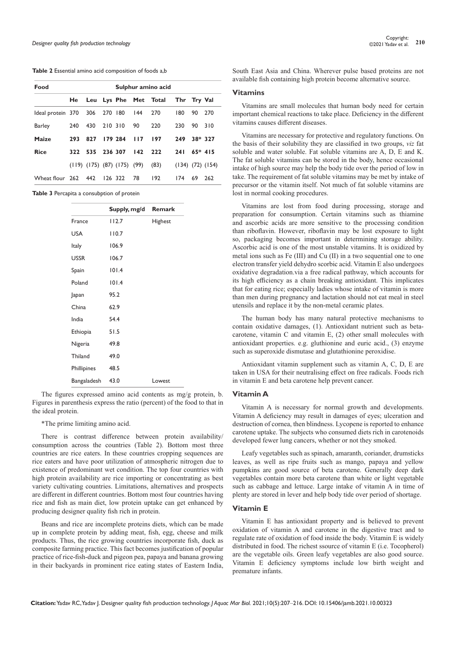#### **Table 2** Essential amino acid composition of foods a,b

| Food                  | Sulphur amino acid |             |         |                                       |           |                                      |     |          |                        |
|-----------------------|--------------------|-------------|---------|---------------------------------------|-----------|--------------------------------------|-----|----------|------------------------|
|                       |                    |             |         |                                       |           | He Leu Lys Phe Met Total Thr Try Val |     |          |                        |
| Ideal protein 370 306 |                    |             | 270 180 |                                       | 144 270   |                                      | 180 | 90       | 270                    |
| <b>Barley</b>         | 240                | 430         | 210 310 |                                       | 90        | 220                                  | 230 | 90       | 310                    |
| Maize                 | 293                | 827         |         | 179 284                               | 117       | <b>197</b>                           | 249 |          | 38* 327                |
| <b>Rice</b>           | 322                | 535 236 307 |         |                                       | $142$ 222 |                                      | 241 | $65*415$ |                        |
|                       |                    |             |         | $(119)$ $(175)$ $(87)$ $(175)$ $(99)$ |           | (83)                                 |     |          | $(134)$ $(72)$ $(154)$ |
| Wheat flour 262 442   |                    |             | 126 322 |                                       | 78        | 192                                  | 174 | 69       | 262                    |

**Table 3** Percapita a consubption of protein

|             | Supply, mg/d | <b>Remark</b> |
|-------------|--------------|---------------|
| France      | 112.7        | Highest       |
| <b>USA</b>  | 110.7        |               |
| Italy       | 106.9        |               |
| <b>USSR</b> | 106.7        |               |
| Spain       | 101.4        |               |
| Poland      | 101.4        |               |
| Japan       | 95.2         |               |
| China       | 62.9         |               |
| India       | 54.4         |               |
| Ethiopia    | 51.5         |               |
| Nigeria     | 49.8         |               |
| Thiland     | 49.0         |               |
| Phillipines | 48.5         |               |
| Bangaladesh | 43.0         | Lowest        |

The figures expressed amino acid contents as mg/g protein, b. Figures in parenthesis express the ratio (percent) of the food to that in the ideal protein.

#### \*The prime limiting amino acid.

There is contrast difference between protein availability/ consumption across the countries (Table 2). Bottom most three countries are rice eaters. In these countries cropping sequences are rice eaters and have poor utilization of atmospheric nitrogen due to existence of predominant wet condition. The top four countries with high protein availability are rice importing or concentrating as best variety cultivating countries. Limitations, alternatives and prospects are different in different countries. Bottom most four countries having rice and fish as main diet, low protein uptake can get enhanced by producing designer quality fish rich in protein.

Beans and rice are incomplete proteins diets, which can be made up in complete protein by adding meat, fish, egg, cheese and milk products. Thus, the rice growing countries incorporate fish, duck as composite farming practice. This fact becomes justification of popular practice of rice-fish-duck and pigeon pea, papaya and banana growing in their backyards in prominent rice eating states of Eastern India,

South East Asia and China. Wherever pulse based proteins are not available fish containing high protein become alternative source.

#### **Vitamins**

Vitamins are small molecules that human body need for certain important chemical reactions to take place. Deficiency in the different vitamins causes different diseases.

Vitamins are necessary for protective and regulatory functions. On the basis of their solubility they are classified in two groups, *viz* fat soluble and water soluble. Fat soluble vitamins are A, D, E and K. The fat soluble vitamins can be stored in the body, hence occasional intake of high source may help the body tide over the period of low in take. The requirement of fat soluble vitamins may be met by intake of precursor or the vitamin itself. Not much of fat soluble vitamins are lost in normal cooking procedures.

Vitamins are lost from food during processing, storage and preparation for consumption. Certain vitamins such as thiamine and ascorbic acids are more sensitive to the processing condition than riboflavin. However, riboflavin may be lost exposure to light so, packaging becomes important in determining storage ability. Ascorbic acid is one of the most unstable vitamins. It is oxidized by metal ions such as Fe (III) and Cu (II) in a two sequential one to one electron transfer yield dehydro scorbic acid. Vitamin E also undergoes oxidative degradation.via a free radical pathway, which accounts for its high efficiency as a chain breaking antioxidant. This implicates that for eating rice; especially ladies whose intake of vitamin is more than men during pregnancy and lactation should not eat meal in steel utensils and replace it by the non-metal ceramic plates.

The human body has many natural protective mechanisms to contain oxidative damages, (1). Antioxidant nutrient such as betacarotene, vitamin C and vitamin E, (2) other small molecules with antioxidant properties. e.g. gluthionine and euric acid., (3) enzyme such as superoxide dismutase and glutathionine peroxidise.

Antioxidant vitamin supplement such as vitamin A, C, D, E are taken in USA for their neutralising effect on free radicals. Foods rich in vitamin E and beta carotene help prevent cancer.

#### **Vitamin A**

Vitamin A is necessary for normal growth and developments. Vitamin A deficiency may result in damages of eyes; ulceration and destruction of cornea, then blindness. Lycopene is reported to enhance carotene uptake. The subjects who consumed diets rich in carotenoids developed fewer lung cancers, whether or not they smoked.

Leafy vegetables such as spinach, amaranth, coriander, drumsticks leaves, as well as ripe fruits such as mango, papaya and yellow pumpkins are good source of beta carotene. Generally deep dark vegetables contain more beta carotene than white or light vegetable such as cabbage and lettuce. Large intake of vitamin A in time of plenty are stored in lever and help body tide over period of shortage.

# **Vitamin E**

Vitamin E has antioxidant property and is believed to prevent oxidation of vitamin A and carotene in the digestive tract and to regulate rate of oxidation of food inside the body. Vitamin E is widely distributed in food. The richest ssource of vitamin E (i.e. Tocopherol) are the vegetable oils. Green leafy vegetables are also good source. Vitamin E deficiency symptoms include low birth weight and premature infants.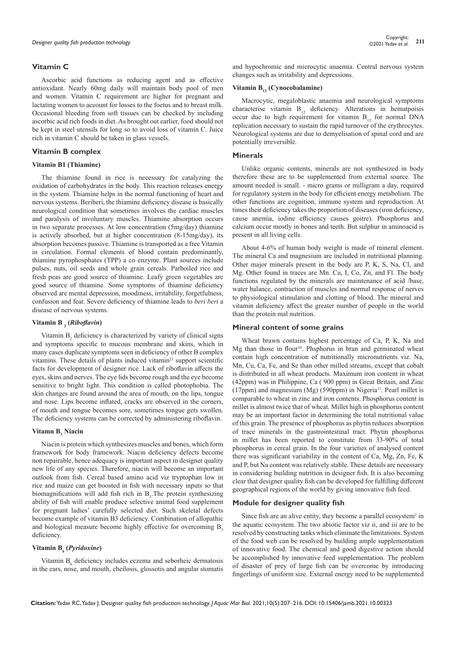# **Vitamin C**

Ascorbic acid functions as reducing agent and as effective antioxidant. Nearly 60mg daily will maintain body pool of men and women. Vitamin C requirement are higher for pregnant and lactating women to account for losses to the foetus and to breast milk. Occasional bleeding from soft tissues can be checked by including ascorbic acid rich foods in diet. As brought out earlier, food should not be kept in steel utensils for long so to avoid loss of vitamin C. Juice rich in vitamin C should be taken in glass vessels.

#### **Vitamin B complex**

#### **Vitamin B1 (Thiamine)**

The thiamine found in rice is necessary for catalyzing the oxidation of carbohydrates in the body. This reaction releases energy in the system. Thiamine helps in the normal functioning of heart and nervous systems. Beriberi, the thiamine deficiency disease is basically neurological condition that sometimes involves the cardiac muscles and paralysis of involuntary muscles. Thiamine absorption occurs in two separate processes. At low concentration (5mg/day) thiamine is actively absorbed, but at higher concentration (8-15mg/day), its absorption becomes passive. Thiamine is transported as a free Vitamin in circulation. Formal elements of blood contain predominantly, thiamine pyrophosphates (TPP) a co enzyme. Plant sources include pulses, nuts, oil seeds and whole grain cereals. Parboiled rice and fresh peas are good source of thiamine. Leafy green vegetables are good source of thiamine. Some symptoms of thiamine deficiency observed are mental depression, moodiness, irritability, forgetfulness, confusion and fear. Severe deficiency of thiamine leads to *beri beri* a disease of nervous systems.

# **Vitamin B 2 (***Riboflavin***)**

Vitamin  $B_2$  deficiency is characterized by variety of clinical signs and symptoms specific to mucous membrane and skins, which in many cases duplicate symptoms seen in deficiency of other B complex vitamins. These details of plants induced vitamin<sup>21</sup> support scientific facts for development of designer rice. Lack of riboflavin affects the eyes, skins and nerves. The eye lids become rough and the eye become sensitive to bright light. This condition is called photophobia. The skin changes are found around the area of mouth, on the lips, tongue and nose. Lips become inflated, cracks are observed in the corners, of mouth and tongue becomes sore, sometimes tongue gets swollen. The deficiency systems can be corrected by administering riboflavin.

# Vitamn B<sub>3</sub> Niacin

Niacin is protein which synthesizes muscles and bones, which form framework for body framework. Niacin deficiency defects become non repairable, hence adequacy is important aspect in designer quality new life of any species. Therefore, niacin will become an important outlook from fish. Cereal based amino acid viz tryptophan low in rice and maize can get boosted in fish with necessary inputs so that biomagnifications will add fish rich in  $B_3$ . The protein synthesizing ability of fish will enable produce selective animal food supplement for pregnant ladies' carefully selected diet. Such skeletal defects become example of vitamin B3 deficiency. Combination of allopathic and biological measure become highly effective for overcoming B, deficiency.

# **Vitamin B6 (***Pyridoxine***)**

Vitamin  $B_6$  deficiency includes eczema and seborheic dermatosis in the ears, nose, and mouth, cheilosis, glossotis and angular stomatis

and hypochromic and microcytic anaemia. Central nervous system changes such as irritability and depressions.

# Vitamin B<sub>12</sub> (Cynocobalamine)

Macrocytic, megaloblastic anaemia and neurological symptoms characterise vitamin  $B_{12}$  deficiency. Alterations in hematpoisis occur due to high requirement for vitamin  $B_{12}$  for normal DNA replication necessary to sustain the rapid turnover of the erythrocytes. Neurological systems are due to demyelisation of spinal cord and are potentially irreversible.

#### **Minerals**

Unlike organic contents, minerals are not synthesized in body therefore these are to be supplemented from external source. The amount needed is small. - micro grams or milligram a day, required for regulatory system in the body for efficient energy metabolism. The other functions are cognition, immune system and reproduction. At times their deficiency takes the proportion of diseases (iron deficiency, cause anemia, iodine efficiency causes goitre). Phosphorus and calcium occur mostly in bones and teeth. But sulphur in aminoacid is present in all living cells.

About 4-6% of human body weight is made of mineral element. The mineral Ca and magnesium are included in nutritional planning. Other major minerals present in the body are P, K, S, Na, Cl, and Mg. Other found in traces are Mn. Cu, I, Co, Zn, and Fl. The body functions regulated by the minerals are maintenance of acid /base, water balance, contraction of muscles and normal response of nerves to physiological stimulation and clotting of blood. The mineral and vitamin deficiency affect the greater number of people in the world than the protein mal nutrition.

#### **Mineral content of some grains**

Wheat brawn contains highest percentage of Ca, P, K, Na and Mg than those in flour<sup>10</sup>. Phsphorus in bran and germinated wheat contain high concentration of nutritionally micronutrients viz. Na, Mn, Cu, Ca, Fe, and Se than other milled streams, except that cobalt is distributed in all wheat products. Maximum iron content in wheat (42ppm) was in Philippine, Ca ( 900 ppm) in Great Britain, and Zinc  $(17ppm)$  and magnesium  $(Mg)$  (590ppm) in Nigeria<sup>11</sup>. Pearl millet is comparable to wheat in zinc and iron contents. Phosphorus content in millet is almost twice that of wheat. Millet high in phosphorus content may be an important factor in determining the total nutritional value of this grain. The presence of phosphorus as phytin reduces absorption of trace minerals in the gastrointestinal tract. Phytin phosphorus in millet has been reported to constitute from 33-90% of total phosphorus in cereal grain. In the four varieties of analysed content there was significant variability in the content of Ca, Mg, Zn, Fe, K and P, but Na content was relatively stable. These details are necessary in considering building nutrition in designer fish. It is also becoming clear that designer quality fish can be developed for fulfilling different geographical regions of the world by giving innovative fish feed.

#### **Module for designer quality fish**

Since fish are an alive entity, they become a parallel ecosystem<sup>2</sup> in the aquatic ecosystem. The two abiotic factor viz ii, and iii are to be resolved by constructing tanks which eliminate the limitations. System of the food web can be resolved by building ample supplementation of innovative food. The chemical and good digestive action should be accomplished by innovative feed supplementation. The problem of disaster of prey of large fish can be overcome by introducing fingerlings of uniform size. External energy need to be supplemented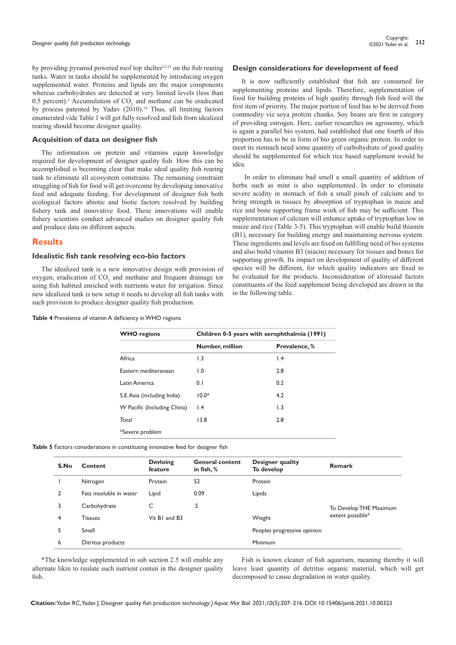by providing pyramid powered roof top shelter $12,13$  on the fish rearing tanks. Water in tanks should be supplemented by introducing oxygen supplemented water. Proteins and lipids are the major components whereas carbohydrates are detected at very limited levels (less than 0.5 percent).<sup>1</sup> Accumulation of  $CO_2$  and methane can be eradicated by process patented by Yadav  $(2010)^{14}$  Thus, all limiting factors enumerated vide Table 1 will get fully resolved and fish from idealized rearing should become designer quality.

# **Acquisition of data on designer fish**

The information on protein and vitamins equip knowledge required for development of designer quality fish. How this can be accomplished is becoming clear that make ideal quality fish rearing tank to eliminate all ecosystem constrains. The remaining constraint struggling of fish for food will get overcome by developing innovative feed and adequate feeding. For development of designer fish both ecological factors abiotic and biotic factors resolved by building fishery tank and innovative food. These innovations will enable fishery scientists conduct advanced studies on designer quality fish and produce data on different aspects.

# **Results**

# **Idealistic fish tank resolving eco-bio factors**

The idealized tank is a new innovative design with provision of oxygen, eradication of  $CO<sub>2</sub>$  and methane and frequent drainage tor using fish habited enriched with nutrients water for irrigation. Since new idealized tank is new setup it needs to develop all fish tanks with such provision to produce designer quality fish production.

#### **Table 4** Prevalence of vitamin A deficiency in WHO regions

#### **Design considerations for development of feed**

It is now sufficiently established that fish are consumed for supplementing proteins and lipids. Therefore, supplementation of food for building proteins of high quality through fish feed will the first item of priority. The major portion of feed has to be derived from commodity viz soya protein chunks. Soy beans are first in category of providing estrogen. Here, earlier researches on agronomy, which is again a parallel bio system, had established that one fourth of this proportion has to be in form of bio green organic protein. In order to meet its stomach need some quantity of carbohydrate of good quality should be supplemented for which rice based supplement would be idea.

 In order to eliminate bad smell a small quantity of addition of herbs such as mint is also supplemented. In order to eliminate severe acidity in stomach of fish a small pinch of calcium and to bring strength in tissues by absorption of tryptophan in maize and rice and bone supporting frame work of fish may be sufficient. This supplementation of calcium will enhance uptake of tryptophan low in maize and rice (Table 3-5). This tryptophan will enable build thiamin (B1), necessary for building energy and maintaining nervous system. These ingredients and levels are fixed on fulfilling need of bio systems and also build vitamin B3 (niacin) necessary for tissues and bones for supporting growth. Its impact on development of quality of different species will be different, for which quality indicators are fixed to be evaluated for the products. Inconsideration of aforesaid factors constituents of the feed supplement being developed are drawn in the in the following table.

| <b>WHO</b> regions          | Children 0-5 years with xerophthalmia (1991) |                 |  |  |  |  |
|-----------------------------|----------------------------------------------|-----------------|--|--|--|--|
|                             | Number, million                              | Prevalence, %   |  |  |  |  |
| Africa                      | $\overline{1.3}$                             | $\mathsf{I}$ .4 |  |  |  |  |
| Eastern mediteranean        | 1.0                                          | 2.8             |  |  |  |  |
| Latin America               | 0.1                                          | 0.2             |  |  |  |  |
| S.E. Asia (including India) | $10.0*$                                      | 4.2             |  |  |  |  |
| W Pacific (Including China) | $\mathsf{I}$ .4                              | 1.3             |  |  |  |  |
| Total                       | 13.8                                         | 2.8             |  |  |  |  |
| *Severe problem             |                                              |                 |  |  |  |  |

**Table 5** Factors considerations in constituting innovative feed for designer fish

| S.No | Content                 | <b>Devloing</b><br>feature | <b>General content</b><br>in fish, $%$ | Designer quality<br>To develop | Remark                 |
|------|-------------------------|----------------------------|----------------------------------------|--------------------------------|------------------------|
|      | Nitrogen                | Protein                    | 52                                     | Protein                        |                        |
| 2    | Fats insoluble in water | Lipid                      | 0.09                                   | Lipids                         |                        |
| 3    | Carbohydrate            | C                          | .5                                     |                                | To Develop THE Maximum |
| 4    | <b>Tissues</b>          | Vit BI and B3              |                                        | Wieght                         | extent possible*       |
| 5    | Smell                   |                            |                                        | Peoples progressive opinion    |                        |
| 6    | Ditritus products       |                            |                                        | Minimum                        |                        |
|      |                         |                            |                                        |                                |                        |

\*The knowledge supplemented in sub section 2.5 will enable any alternate likin to reulate such nutrient conten in the designer quality fish.

Fish is known cleaner of fish aquarium, meaning thereby it will leave least quantity of detritus organic material, which will get decomposed to cause degradation in water quality.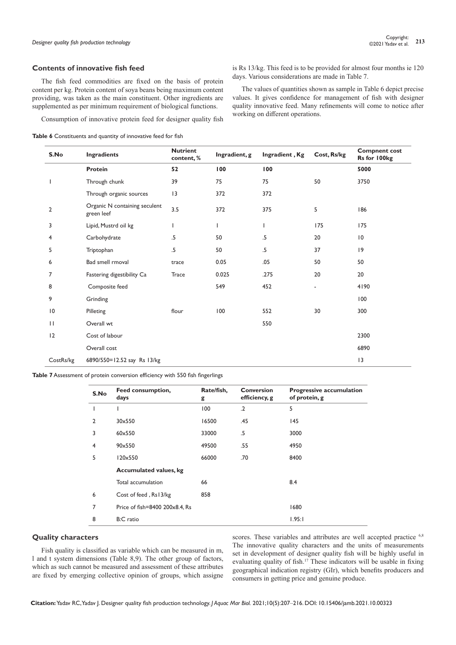#### **Contents of innovative fish feed**

The fish feed commodities are fixed on the basis of protein content per kg. Protein content of soya beans being maximum content providing, was taken as the main constituent. Other ingredients are supplemented as per minimum requirement of biological functions.

Consumption of innovative protein feed for designer quality fish

**Table 6** Constituents and quantity of innovative feed for fish

is Rs 13/kg. This feed is to be provided for almost four months ie 120 days. Various considerations are made in Table 7.

The values of quantities shown as sample in Table 6 depict precise values. It gives confidence for management of fish with designer quality innovative feed. Many refinements will come to notice after working on different operations.

| S.No           | Ingradients                                 | <b>Nutrient</b><br>content,% | Ingradient, g | Ingradient, Kg | Cost, Rs/kg | <b>Compnent cost</b><br>Rs for 100kg |
|----------------|---------------------------------------------|------------------------------|---------------|----------------|-------------|--------------------------------------|
|                | <b>Protein</b>                              | 52                           | 100           | 100            |             | 5000                                 |
|                | Through chunk                               | 39                           | 75            | 75             | 50          | 3750                                 |
|                | Through organic sources                     | 3                            | 372           | 372            |             |                                      |
| $\overline{2}$ | Organic N containing seculent<br>green leef | 3.5                          | 372           | 375            | 5           | 186                                  |
| 3              | Lipid, Mustrd oil kg                        |                              | $\mathsf{L}$  | T              | 175         | 175                                  |
| 4              | Carbohydrate                                | .5                           | 50            | $.5\,$         | 20          | 10                                   |
| 5              | Triptophan                                  | .5                           | 50            | $.5\,$         | 37          | 9                                    |
| 6              | Bad smell rmoval                            | trace                        | 0.05          | .05            | 50          | 50                                   |
| $\overline{7}$ | Fastering digestibility Ca                  | <b>Trace</b>                 | 0.025         | .275           | 20          | 20                                   |
| 8              | Composite feed                              |                              | 549           | 452            | ٠           | 4190                                 |
| 9              | Grinding                                    |                              |               |                |             | 100                                  |
| 10             | Pilleting                                   | flour                        | 100           | 552            | 30          | 300                                  |
| $\mathbf{H}$   | Overall wt                                  |                              |               | 550            |             |                                      |
| 12             | Cost of labour                              |                              |               |                |             | 2300                                 |
|                | Overall cost                                |                              |               |                |             | 6890                                 |
| CostRs/kg      | 6890/550=12.52 say Rs 13/kg                 |                              |               |                |             | 13                                   |

**Table 7** Assessment of protein conversion efficiency with 550 fish fingerlings

| S.No           | Feed consumption,<br>days      | Rate/fish,<br>g | <b>Conversion</b><br>efficiency, g | <b>Progressive accumulation</b><br>of protein, g |
|----------------|--------------------------------|-----------------|------------------------------------|--------------------------------------------------|
|                | ı                              | 100             | $\cdot$                            | 5                                                |
| $\mathfrak{p}$ | 30×550                         | 16500           | .45                                | 145                                              |
| 3              | 60×550                         | 33000           | .5                                 | 3000                                             |
| 4              | 90×550                         | 49500           | .55                                | 4950                                             |
| 5              | 120×550                        | 66000           | .70                                | 8400                                             |
|                | <b>Accumulated values, kg</b>  |                 |                                    |                                                  |
|                | Total accumulation             | 66              |                                    | 8.4                                              |
| 6              | Cost of feed, Rs13/kg          | 858             |                                    |                                                  |
| 7              | Price of fish=8400 200x8.4, Rs |                 |                                    | 1680                                             |
| 8              | B:C ratio                      |                 |                                    | 1.95:1                                           |

# **Quality characters**

Fish quality is classified as variable which can be measured in m, l and t system dimensions (Table 8,9). The other group of factors, which as such cannot be measured and assessment of these attributes are fixed by emerging collective opinion of groups, which assigne

scores. These variables and attributes are well accepted practice <sup>6,8</sup> The innovative quality characters and the units of measurements set in development of designer quality fish will be highly useful in evaluating quality of fish.<sup>17</sup> These indicators will be usable in fixing geographical indication registry (GIr), which benefits producers and consumers in getting price and genuine produce.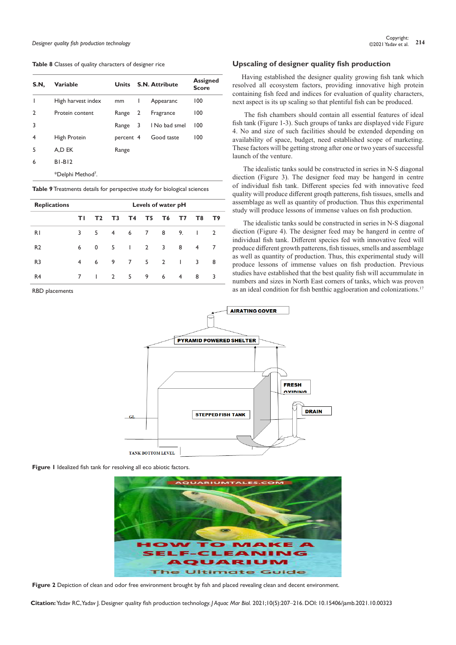#### **Table 8** Classes of quality characters of designer rice

| S.N. | <b>Variable</b>               | <b>Units</b> |   | S.N. Attribute | <b>Assigned</b><br><b>Score</b> |
|------|-------------------------------|--------------|---|----------------|---------------------------------|
| ı    | High harvest index            | mm           | L | Appearanc      | 100                             |
| 2    | Protein content               | Range        | 2 | Fragrance      | 100                             |
| 3    |                               | Range        | 3 | I No bad smel  | 100                             |
| 4    | High Protein                  | percent 4    |   | Good taste     | 100                             |
| 5    | A.D EK                        | Range        |   |                |                                 |
| 6    | $BI-BI2$                      |              |   |                |                                 |
|      | *Delphi Method <sup>7</sup> . |              |   |                |                                 |

#### **Table 9** Treatments details for perspective study for biological sciences

| <b>Replications</b> |    |                | Levels of water pH |                 |                 |                |              |              |                |
|---------------------|----|----------------|--------------------|-----------------|-----------------|----------------|--------------|--------------|----------------|
|                     | ΤI | T <sub>2</sub> | T <sub>3</sub>     | T4              | T <sub>5</sub>  | T6             | T7           | T8           | T9             |
| R1                  | 3  | 5              | $\overline{4}$     | 6               | $7\overline{ }$ | 8              | 9.           | $\mathbf{I}$ | $\overline{2}$ |
| R <sub>2</sub>      | 6  | 0              | 5                  | $\mathbf{I}$    | $\overline{2}$  | 3              | 8            | 4            | 7              |
| R <sub>3</sub>      | 4  | 6              | 9                  | $7\overline{ }$ | 5               | $\overline{2}$ | $\mathbf{I}$ | 3            | 8              |
| R <sub>4</sub>      | 7  | ı              | 2                  | 5               | 9               | 6              | 4            | 8            | 3              |

RBD placements

# **Upscaling of designer quality fish production**

Having established the designer quality growing fish tank which resolved all ecosystem factors, providing innovative high protein containing fish feed and indices for evaluation of quality characters, next aspect is its up scaling so that plentiful fish can be produced.

The fish chambers should contain all essential features of ideal fish tank (Figure 1-3). Such groups of tanks are displayed vide Figure 4. No and size of such facilities should be extended depending on availability of space, budget, need established scope of marketing. These factors will be getting strong after one or two years of successful launch of the venture.

 The idealistic tanks sould be constructed in series in N-S diagonal diection (Figure 3). The designer feed may be hangerd in centre of individual fish tank. Different species fed with innovative feed quality will produce different groqth patterens, fish tissues, smells and assemblage as well as quantity of production. Thus this experimental study will produce lessons of immense values on fish production.

 The idealistic tanks sould be constructed in series in N-S diagonal diection (Figure 4). The designer feed may be hangerd in centre of individual fish tank. Different species fed with innovative feed will produce different growth patterens, fish tissues, smells and assemblage as well as quantity of production. Thus, this experimental study will produce lessons of immense values on fish production. Previous studies have established that the best quality fish will accummulate in numbers and sizes in North East corners of tanks, which was proven as an ideal condition for fish benthic aggloeration and colonizations.<sup>17</sup>



**Figure 1** Idealized fish tank for resolving all eco abiotic factors.



**Figure 2** Depiction of clean and odor free environment brought by fish and placed revealing clean and decent environment.

**Citation:** Yadav RC, Yadav J. Designer quality fish production technology. *J Aquac Mar Biol.* 2021;10(5):207‒216. DOI: [10.15406/jamb.2021.10.00323](https://doi.org/10.15406/jamb.2021.10.00323)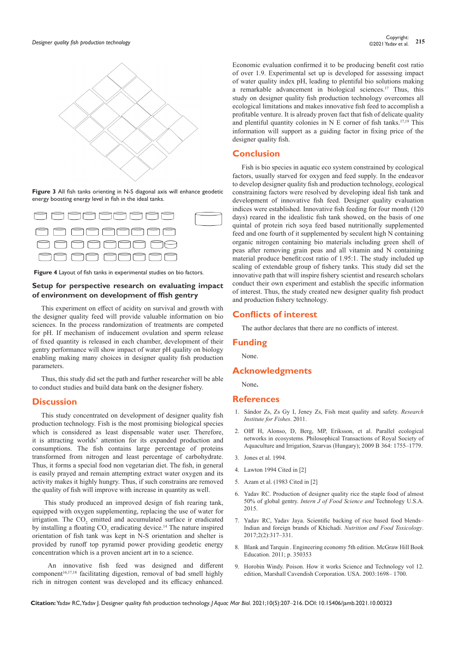

**Figure 3** All fish tanks orienting in N-S diagonal axis will enhance geodetic energy boosting energy level in fish in the ideal tanks.



**Figure 4** Layout of fish tanks in experimental studies on bio factors.

# **Setup for perspective research on evaluating impact of environment on development of ffish gentry**

This experiment on effect of acidity on survival and growth with the designer quality feed will provide valuable information on bio sciences. In the process randomization of treatments are competed for pH. If mechanism of inducement ovulation and sperm release of fixed quantity is released in each chamber, development of their gentry performance will show impact of water pH quality on biology enabling making many choices in designer quality fish production parameters.

Thus, this study did set the path and further researcher will be able to conduct studies and build data bank on the designer fishery.

# **Discussion**

This study concentrated on development of designer quality fish production technology. Fish is the most promising biological species which is considered as least dispensable water user. Therefore, it is attracting worlds' attention for its expanded production and consumptions. The fish contains large percentage of proteins transformed from nitrogen and least percentage of carbohydrate. Thus, it forms a special food non vegetarian diet. The fish, in general is easily prayed and remain attempting extract water oxygen and its activity makes it highly hungry. Thus, if such constrains are removed the quality of fish will improve with increase in quantity as well.

 This study produced an improved design of fish rearing tank, equipped with oxygen supplementing, replacing the use of water for irrigation. The  $CO_2$  emitted and accumulated surface ir eradicated by installing a floating  $CO_2$  eradicating device.<sup>14</sup> The nature inspired orientation of fish tank was kept in N-S orientation and shelter is provided by runoff top pyramid power providing geodetic energy concentration which is a proven ancient art in to a science.

 An innovative fish feed was designed and different component<sup>16,17,18</sup> facilitating digestion, removal of bad smell highly rich in nitrogen content was developed and its efficacy enhanced.

Economic evaluation confirmed it to be producing benefit cost ratio of over 1.9. Experimental set up is developed for assessing impact of water quality index pH, leading to plentiful bio solutions making a remarkable advancement in biological sciences.<sup>17</sup> Thus, this study on designer quality fish production technology overcomes all ecological limitations and makes innovative fish feed to accomplish a profitable venture. It is already proven fact that fish of delicate quality and plentiful quantity colonies in  $N \to$  corner of fish tanks.<sup>17,19</sup> This information will support as a guiding factor in fixing price of the designer quality fish.

# **Conclusion**

Fish is bio species in aquatic eco system constrained by ecological factors, usually starved for oxygen and feed supply. In the endeavor to develop designer quality fish and production technology, ecological constraining factors were resolved by developing ideal fish tank and development of innovative fish feed. Designer quality evaluation indices were established. Innovative fish feeding for four month (120 days) reared in the idealistic fish tank showed, on the basis of one quintal of protein rich soya feed based nutritionally supplemented feed and one fourth of it supplemented by seculent high N containing organic nitrogen containing bio materials including green shell of peas after removing grain peas and all vitamin and N containing material produce benefit:cost ratio of 1.95:1. The study included up scaling of extendable group of fishery tanks. This study did set the innovative path that will inspire fishery scientist and research scholars conduct their own experiment and establish the specific information of interest. Thus, the study created new designer quality fish product and production fishery technology.

# **Conflicts of interest**

The author declares that there are no conflicts of interest.

# **Funding**

None.

# **Acknowledgments**

None**.**

# **References**

- 1. [Sándor Zs, Zs Gy I, Jeney Zs, Fish meat quality and safety.](https://agris.fao.org/agris-search/search.do?recordID=RS2011002907) *Research [Institute for Fishes](https://agris.fao.org/agris-search/search.do?recordID=RS2011002907)*. 2011.
- 2. Olff [H, Alonso, D, Berg, MP, Eriksson, et al. Parallel ecological](https://pubmed.ncbi.nlm.nih.gov/19451126/)  [networks in ecosystems. Philosophical Transactions of Royal Society of](https://pubmed.ncbi.nlm.nih.gov/19451126/)  [Aquaculture and Irrigation, Szarvas \(Hungary\); 2009 B 364: 1755–1779.](https://pubmed.ncbi.nlm.nih.gov/19451126/)
- 3. [Jones et al. 1994.](https://royalsocietypublishing.org/doi/full/10.1098/rstb.2008.0222#bib88)
- 4. [Lawton 1994 Cited in \[2\]](https://royalsocietypublishing.org/doi/full/10.1098/rstb.2008.0222#bib88)
- 5. Azam et al. (1983 Cited in [2]
- 6. Yadav RC. Production of designer quality rice the staple food of almost 50% of global gentry. *Intern J of Food Science and* Technology U.S.A. 2015.
- 7. [Yadav RC, Yadav Jaya. Scientific backing of rice based food blends–](https://scientiaricerca.com/srnuft/SRNUFT-02-00049.php)  [Indian and foreign brands of Khichadi.](https://scientiaricerca.com/srnuft/SRNUFT-02-00049.php) *Nutrition and Food Toxicology*. [2017;2\(2\):317–331.](https://scientiaricerca.com/srnuft/SRNUFT-02-00049.php)
- 8. Blank and Tarquin . Engineering economy 5th edition. McGraw Hill Book Education. 2011; p. 350353
- 9. [Horobin Windy. Poison. How it works Science and Technology vol 12.](https://archive.org/details/howitworks09mars)  [edition, Marshall Cavendish Corporation. USA. 2003:1698– 1700.](https://archive.org/details/howitworks09mars)